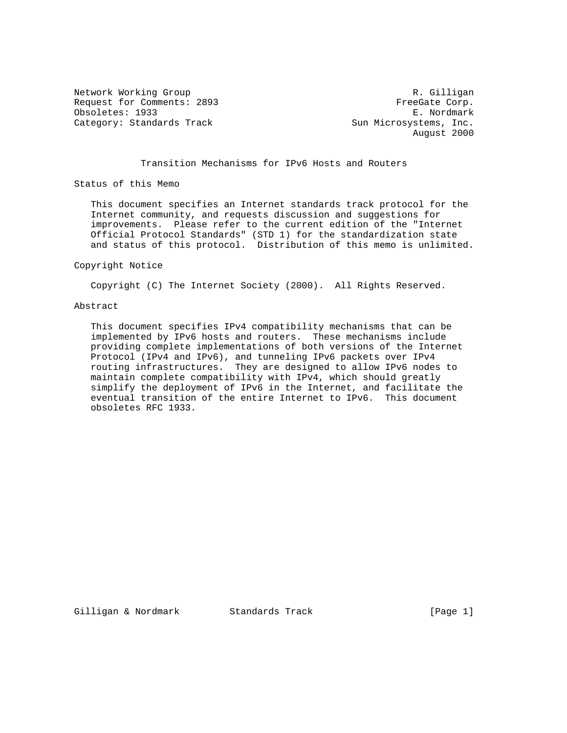Network Working Group and Months and Months and Months R. Gilligan Request for Comments: 2893 FreeGate Corp. Obsoletes: 1933 E. Nordmark Category: Standards Track Sun Microsystems, Inc.

August 2000

# Transition Mechanisms for IPv6 Hosts and Routers

Status of this Memo

 This document specifies an Internet standards track protocol for the Internet community, and requests discussion and suggestions for improvements. Please refer to the current edition of the "Internet Official Protocol Standards" (STD 1) for the standardization state and status of this protocol. Distribution of this memo is unlimited.

#### Copyright Notice

Copyright (C) The Internet Society (2000). All Rights Reserved.

### Abstract

 This document specifies IPv4 compatibility mechanisms that can be implemented by IPv6 hosts and routers. These mechanisms include providing complete implementations of both versions of the Internet Protocol (IPv4 and IPv6), and tunneling IPv6 packets over IPv4 routing infrastructures. They are designed to allow IPv6 nodes to maintain complete compatibility with IPv4, which should greatly simplify the deployment of IPv6 in the Internet, and facilitate the eventual transition of the entire Internet to IPv6. This document obsoletes RFC 1933.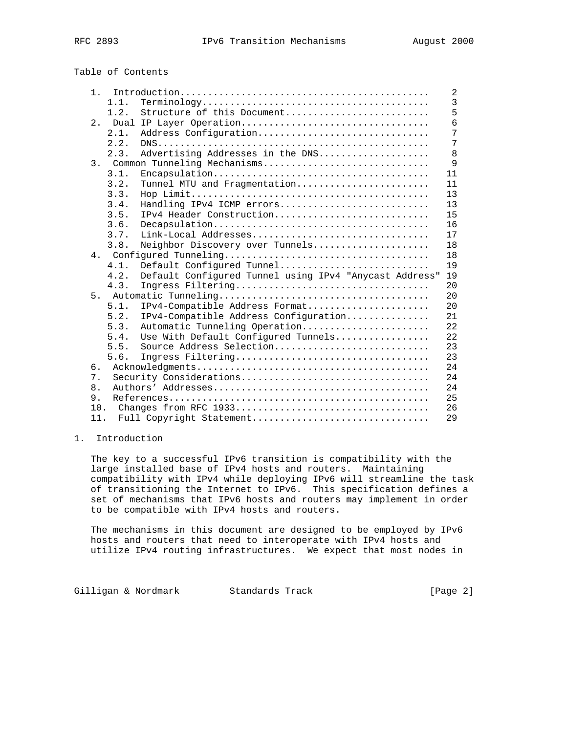# Table of Contents

| 1.  |         |                                                        | 2              |
|-----|---------|--------------------------------------------------------|----------------|
|     | 1.1.    |                                                        | $\overline{3}$ |
|     | 1.2.    | Structure of this Document                             | 5              |
|     |         | 2. Dual IP Layer Operation                             | 6              |
|     | 2.1.    | Address Configuration                                  | 7              |
|     | 2.2.    |                                                        | 7              |
|     | 2.3.    | Advertising Addresses in the DNS                       | 8              |
|     |         | 3. Common Tunneling Mechanisms                         | 9              |
|     | 3.1.    |                                                        | 11             |
|     | 3.2.    | Tunnel MTU and Fragmentation                           | 11             |
|     | 3.3.    |                                                        | 13             |
|     | 3.4.    | Handling IPv4 ICMP errors                              | 13             |
|     | 3.5.    | IPv4 Header Construction                               | 15             |
|     | 3.6.    |                                                        | 16             |
|     | 3.7.    |                                                        | 17             |
|     | 3.8.    | Neighbor Discovery over Tunnels                        | 18             |
|     |         |                                                        | 18             |
|     | $4.1$ . | Default Configured Tunnel                              | 19             |
|     | 4.2.    | Default Configured Tunnel using IPv4 "Anycast Address" | 19             |
|     | 4.3.    | Ingress Filtering                                      | 20             |
|     |         |                                                        | 20             |
|     | 5.1.    | IPv4-Compatible Address Format                         | 20             |
|     | 5.2.    | IPv4-Compatible Address Configuration                  | 21             |
|     | 5.3.    | Automatic Tunneling Operation                          | 22             |
|     | 5.4.    | Use With Default Configured Tunnels                    | 22             |
|     | 5.5.    | Source Address Selection                               | 23             |
|     | 5.6.    | Ingress Filtering                                      | 23             |
| б.  |         |                                                        | 24             |
| 7.  |         | Security Considerations                                | 24             |
| 8.  |         |                                                        | 24             |
| 9.  |         |                                                        | 25             |
| 10. |         |                                                        | 26             |
| 11. |         | Full Copyright Statement                               | 29             |

# 1. Introduction

 The key to a successful IPv6 transition is compatibility with the large installed base of IPv4 hosts and routers. Maintaining compatibility with IPv4 while deploying IPv6 will streamline the task of transitioning the Internet to IPv6. This specification defines a set of mechanisms that IPv6 hosts and routers may implement in order to be compatible with IPv4 hosts and routers.

 The mechanisms in this document are designed to be employed by IPv6 hosts and routers that need to interoperate with IPv4 hosts and utilize IPv4 routing infrastructures. We expect that most nodes in

Gilligan & Nordmark Standards Track (Page 2)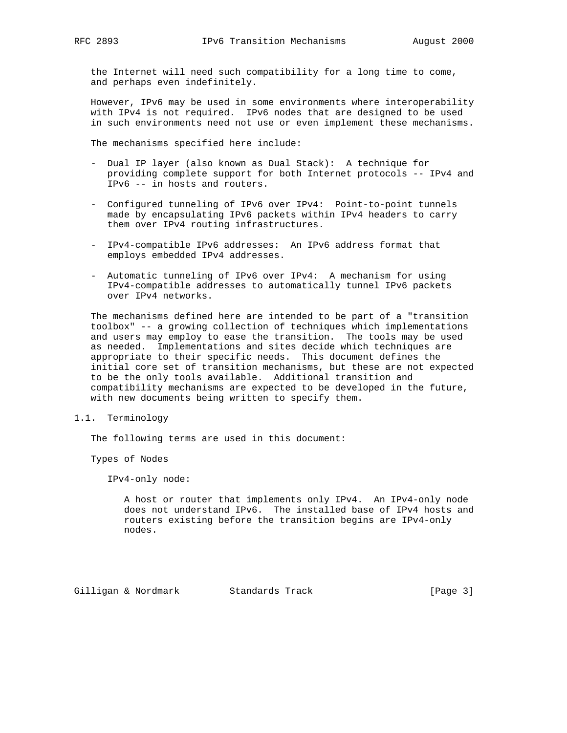the Internet will need such compatibility for a long time to come, and perhaps even indefinitely.

 However, IPv6 may be used in some environments where interoperability with IPv4 is not required. IPv6 nodes that are designed to be used in such environments need not use or even implement these mechanisms.

The mechanisms specified here include:

- Dual IP layer (also known as Dual Stack): A technique for providing complete support for both Internet protocols -- IPv4 and IPv6 -- in hosts and routers.
- Configured tunneling of IPv6 over IPv4: Point-to-point tunnels made by encapsulating IPv6 packets within IPv4 headers to carry them over IPv4 routing infrastructures.
- IPv4-compatible IPv6 addresses: An IPv6 address format that employs embedded IPv4 addresses.
- Automatic tunneling of IPv6 over IPv4: A mechanism for using IPv4-compatible addresses to automatically tunnel IPv6 packets over IPv4 networks.

 The mechanisms defined here are intended to be part of a "transition toolbox" -- a growing collection of techniques which implementations and users may employ to ease the transition. The tools may be used as needed. Implementations and sites decide which techniques are appropriate to their specific needs. This document defines the initial core set of transition mechanisms, but these are not expected to be the only tools available. Additional transition and compatibility mechanisms are expected to be developed in the future, with new documents being written to specify them.

1.1. Terminology

The following terms are used in this document:

Types of Nodes

IPv4-only node:

 A host or router that implements only IPv4. An IPv4-only node does not understand IPv6. The installed base of IPv4 hosts and routers existing before the transition begins are IPv4-only nodes.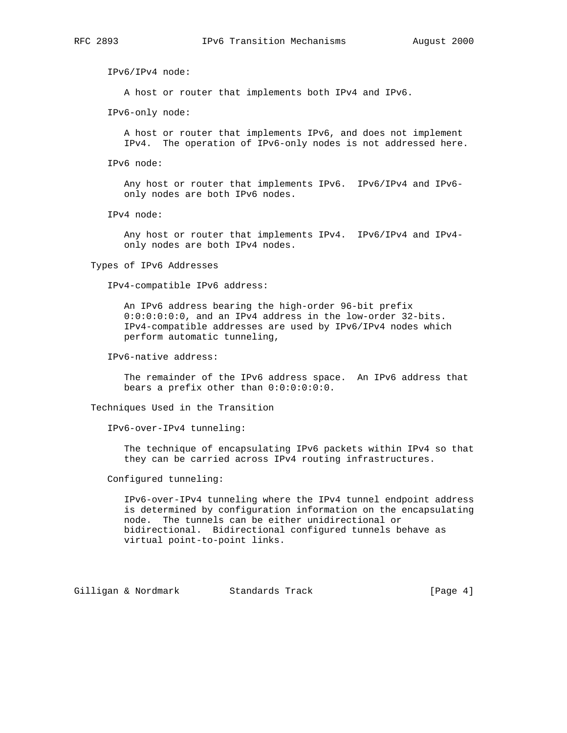IPv6/IPv4 node:

A host or router that implements both IPv4 and IPv6.

IPv6-only node:

 A host or router that implements IPv6, and does not implement IPv4. The operation of IPv6-only nodes is not addressed here.

IPv6 node:

 Any host or router that implements IPv6. IPv6/IPv4 and IPv6 only nodes are both IPv6 nodes.

IPv4 node:

 Any host or router that implements IPv4. IPv6/IPv4 and IPv4 only nodes are both IPv4 nodes.

Types of IPv6 Addresses

IPv4-compatible IPv6 address:

 An IPv6 address bearing the high-order 96-bit prefix 0:0:0:0:0:0, and an IPv4 address in the low-order 32-bits. IPv4-compatible addresses are used by IPv6/IPv4 nodes which perform automatic tunneling,

IPv6-native address:

 The remainder of the IPv6 address space. An IPv6 address that bears a prefix other than 0:0:0:0:0:0.

Techniques Used in the Transition

IPv6-over-IPv4 tunneling:

 The technique of encapsulating IPv6 packets within IPv4 so that they can be carried across IPv4 routing infrastructures.

Configured tunneling:

 IPv6-over-IPv4 tunneling where the IPv4 tunnel endpoint address is determined by configuration information on the encapsulating node. The tunnels can be either unidirectional or bidirectional. Bidirectional configured tunnels behave as virtual point-to-point links.

Gilligan & Nordmark Standards Track (Page 4)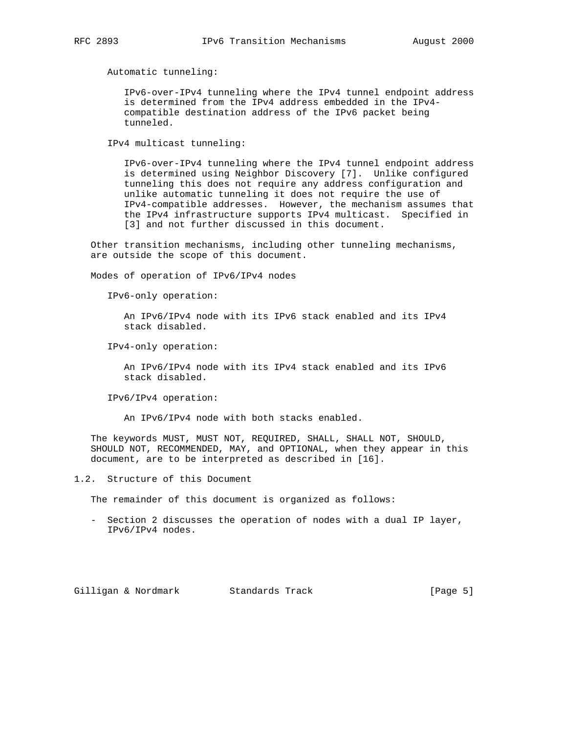Automatic tunneling:

 IPv6-over-IPv4 tunneling where the IPv4 tunnel endpoint address is determined from the IPv4 address embedded in the IPv4 compatible destination address of the IPv6 packet being tunneled.

IPv4 multicast tunneling:

 IPv6-over-IPv4 tunneling where the IPv4 tunnel endpoint address is determined using Neighbor Discovery [7]. Unlike configured tunneling this does not require any address configuration and unlike automatic tunneling it does not require the use of IPv4-compatible addresses. However, the mechanism assumes that the IPv4 infrastructure supports IPv4 multicast. Specified in [3] and not further discussed in this document.

 Other transition mechanisms, including other tunneling mechanisms, are outside the scope of this document.

Modes of operation of IPv6/IPv4 nodes

IPv6-only operation:

 An IPv6/IPv4 node with its IPv6 stack enabled and its IPv4 stack disabled.

IPv4-only operation:

 An IPv6/IPv4 node with its IPv4 stack enabled and its IPv6 stack disabled.

IPv6/IPv4 operation:

An IPv6/IPv4 node with both stacks enabled.

 The keywords MUST, MUST NOT, REQUIRED, SHALL, SHALL NOT, SHOULD, SHOULD NOT, RECOMMENDED, MAY, and OPTIONAL, when they appear in this document, are to be interpreted as described in [16].

1.2. Structure of this Document

The remainder of this document is organized as follows:

 - Section 2 discusses the operation of nodes with a dual IP layer, IPv6/IPv4 nodes.

Gilligan & Nordmark Standards Track (Page 5)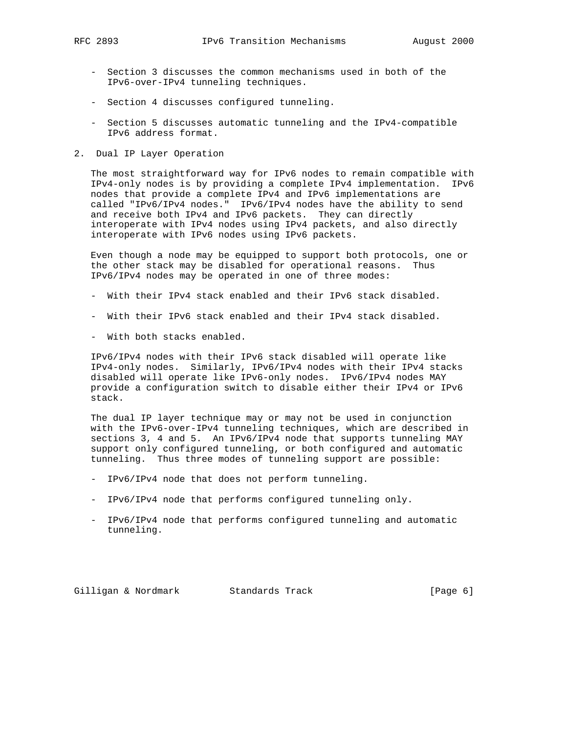- Section 3 discusses the common mechanisms used in both of the IPv6-over-IPv4 tunneling techniques.
- Section 4 discusses configured tunneling.
- Section 5 discusses automatic tunneling and the IPv4-compatible IPv6 address format.
- 2. Dual IP Layer Operation

 The most straightforward way for IPv6 nodes to remain compatible with IPv4-only nodes is by providing a complete IPv4 implementation. IPv6 nodes that provide a complete IPv4 and IPv6 implementations are called "IPv6/IPv4 nodes." IPv6/IPv4 nodes have the ability to send and receive both IPv4 and IPv6 packets. They can directly interoperate with IPv4 nodes using IPv4 packets, and also directly interoperate with IPv6 nodes using IPv6 packets.

 Even though a node may be equipped to support both protocols, one or the other stack may be disabled for operational reasons. Thus IPv6/IPv4 nodes may be operated in one of three modes:

- With their IPv4 stack enabled and their IPv6 stack disabled.
- With their IPv6 stack enabled and their IPv4 stack disabled.
- With both stacks enabled.

 IPv6/IPv4 nodes with their IPv6 stack disabled will operate like IPv4-only nodes. Similarly, IPv6/IPv4 nodes with their IPv4 stacks disabled will operate like IPv6-only nodes. IPv6/IPv4 nodes MAY provide a configuration switch to disable either their IPv4 or IPv6 stack.

 The dual IP layer technique may or may not be used in conjunction with the IPv6-over-IPv4 tunneling techniques, which are described in sections 3, 4 and 5. An IPv6/IPv4 node that supports tunneling MAY support only configured tunneling, or both configured and automatic tunneling. Thus three modes of tunneling support are possible:

- IPv6/IPv4 node that does not perform tunneling.
- IPv6/IPv4 node that performs configured tunneling only.
- IPv6/IPv4 node that performs configured tunneling and automatic tunneling.

Gilligan & Nordmark Standards Track (Page 6)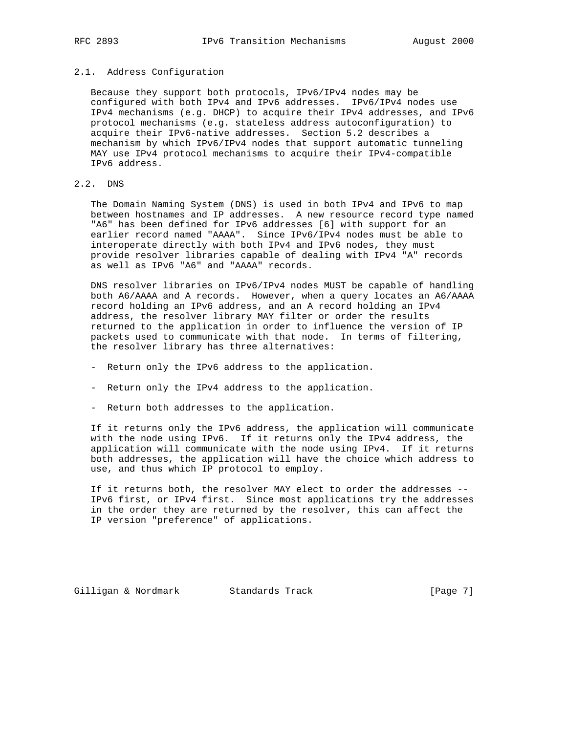# 2.1. Address Configuration

 Because they support both protocols, IPv6/IPv4 nodes may be configured with both IPv4 and IPv6 addresses. IPv6/IPv4 nodes use IPv4 mechanisms (e.g. DHCP) to acquire their IPv4 addresses, and IPv6 protocol mechanisms (e.g. stateless address autoconfiguration) to acquire their IPv6-native addresses. Section 5.2 describes a mechanism by which IPv6/IPv4 nodes that support automatic tunneling MAY use IPv4 protocol mechanisms to acquire their IPv4-compatible IPv6 address.

# 2.2. DNS

 The Domain Naming System (DNS) is used in both IPv4 and IPv6 to map between hostnames and IP addresses. A new resource record type named "A6" has been defined for IPv6 addresses [6] with support for an earlier record named "AAAA". Since IPv6/IPv4 nodes must be able to interoperate directly with both IPv4 and IPv6 nodes, they must provide resolver libraries capable of dealing with IPv4 "A" records as well as IPv6 "A6" and "AAAA" records.

 DNS resolver libraries on IPv6/IPv4 nodes MUST be capable of handling both A6/AAAA and A records. However, when a query locates an A6/AAAA record holding an IPv6 address, and an A record holding an IPv4 address, the resolver library MAY filter or order the results returned to the application in order to influence the version of IP packets used to communicate with that node. In terms of filtering, the resolver library has three alternatives:

- Return only the IPv6 address to the application.
- Return only the IPv4 address to the application.
- Return both addresses to the application.

 If it returns only the IPv6 address, the application will communicate with the node using IPv6. If it returns only the IPv4 address, the application will communicate with the node using IPv4. If it returns both addresses, the application will have the choice which address to use, and thus which IP protocol to employ.

 If it returns both, the resolver MAY elect to order the addresses -- IPv6 first, or IPv4 first. Since most applications try the addresses in the order they are returned by the resolver, this can affect the IP version "preference" of applications.

Gilligan & Nordmark Standards Track [Page 7]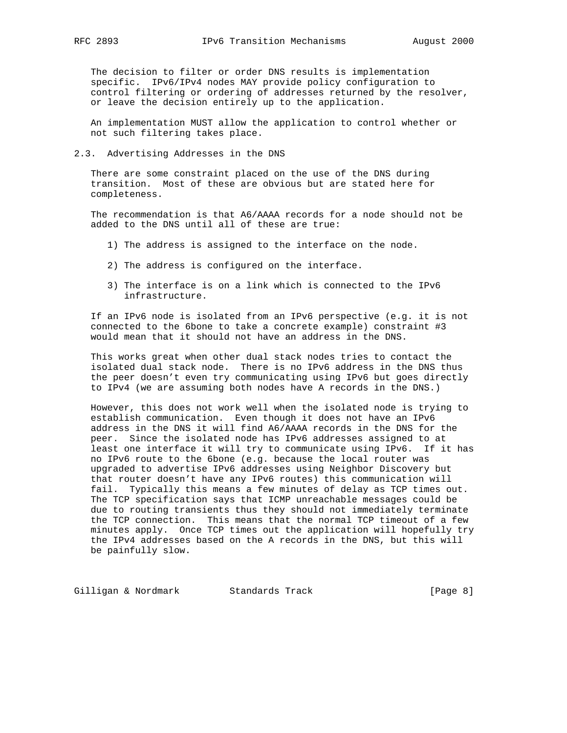The decision to filter or order DNS results is implementation specific. IPv6/IPv4 nodes MAY provide policy configuration to control filtering or ordering of addresses returned by the resolver, or leave the decision entirely up to the application.

 An implementation MUST allow the application to control whether or not such filtering takes place.

2.3. Advertising Addresses in the DNS

 There are some constraint placed on the use of the DNS during transition. Most of these are obvious but are stated here for completeness.

 The recommendation is that A6/AAAA records for a node should not be added to the DNS until all of these are true:

- 1) The address is assigned to the interface on the node.
- 2) The address is configured on the interface.
- 3) The interface is on a link which is connected to the IPv6 infrastructure.

 If an IPv6 node is isolated from an IPv6 perspective (e.g. it is not connected to the 6bone to take a concrete example) constraint #3 would mean that it should not have an address in the DNS.

 This works great when other dual stack nodes tries to contact the isolated dual stack node. There is no IPv6 address in the DNS thus the peer doesn't even try communicating using IPv6 but goes directly to IPv4 (we are assuming both nodes have A records in the DNS.)

 However, this does not work well when the isolated node is trying to establish communication. Even though it does not have an IPv6 address in the DNS it will find A6/AAAA records in the DNS for the peer. Since the isolated node has IPv6 addresses assigned to at least one interface it will try to communicate using IPv6. If it has no IPv6 route to the 6bone (e.g. because the local router was upgraded to advertise IPv6 addresses using Neighbor Discovery but that router doesn't have any IPv6 routes) this communication will fail. Typically this means a few minutes of delay as TCP times out. The TCP specification says that ICMP unreachable messages could be due to routing transients thus they should not immediately terminate the TCP connection. This means that the normal TCP timeout of a few minutes apply. Once TCP times out the application will hopefully try the IPv4 addresses based on the A records in the DNS, but this will be painfully slow.

Gilligan & Nordmark Standards Track (Page 8)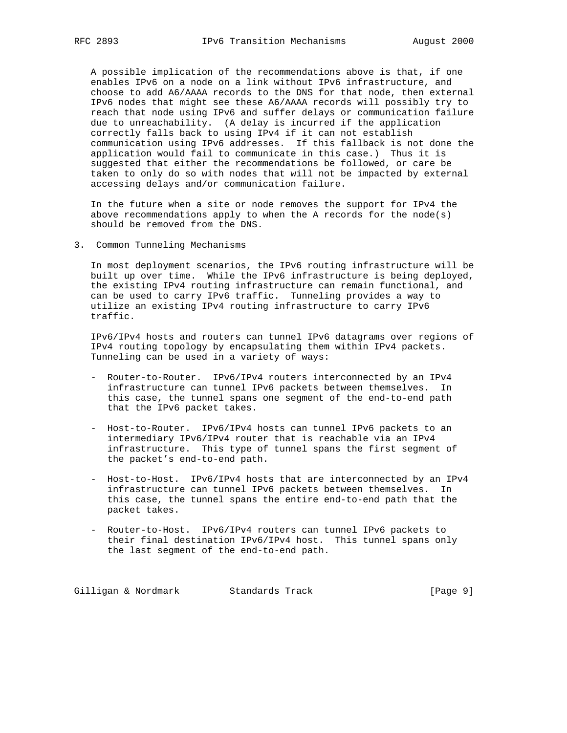A possible implication of the recommendations above is that, if one enables IPv6 on a node on a link without IPv6 infrastructure, and choose to add A6/AAAA records to the DNS for that node, then external IPv6 nodes that might see these A6/AAAA records will possibly try to reach that node using IPv6 and suffer delays or communication failure due to unreachability. (A delay is incurred if the application correctly falls back to using IPv4 if it can not establish communication using IPv6 addresses. If this fallback is not done the application would fail to communicate in this case.) Thus it is suggested that either the recommendations be followed, or care be taken to only do so with nodes that will not be impacted by external accessing delays and/or communication failure.

 In the future when a site or node removes the support for IPv4 the above recommendations apply to when the A records for the node(s) should be removed from the DNS.

3. Common Tunneling Mechanisms

 In most deployment scenarios, the IPv6 routing infrastructure will be built up over time. While the IPv6 infrastructure is being deployed, the existing IPv4 routing infrastructure can remain functional, and can be used to carry IPv6 traffic. Tunneling provides a way to utilize an existing IPv4 routing infrastructure to carry IPv6 traffic.

 IPv6/IPv4 hosts and routers can tunnel IPv6 datagrams over regions of IPv4 routing topology by encapsulating them within IPv4 packets. Tunneling can be used in a variety of ways:

- Router-to-Router. IPv6/IPv4 routers interconnected by an IPv4 infrastructure can tunnel IPv6 packets between themselves. In this case, the tunnel spans one segment of the end-to-end path that the IPv6 packet takes.
- Host-to-Router. IPv6/IPv4 hosts can tunnel IPv6 packets to an intermediary IPv6/IPv4 router that is reachable via an IPv4 infrastructure. This type of tunnel spans the first segment of the packet's end-to-end path.
- Host-to-Host. IPv6/IPv4 hosts that are interconnected by an IPv4 infrastructure can tunnel IPv6 packets between themselves. In this case, the tunnel spans the entire end-to-end path that the packet takes.
- Router-to-Host. IPv6/IPv4 routers can tunnel IPv6 packets to their final destination IPv6/IPv4 host. This tunnel spans only the last segment of the end-to-end path.

Gilligan & Nordmark Standards Track (Page 9)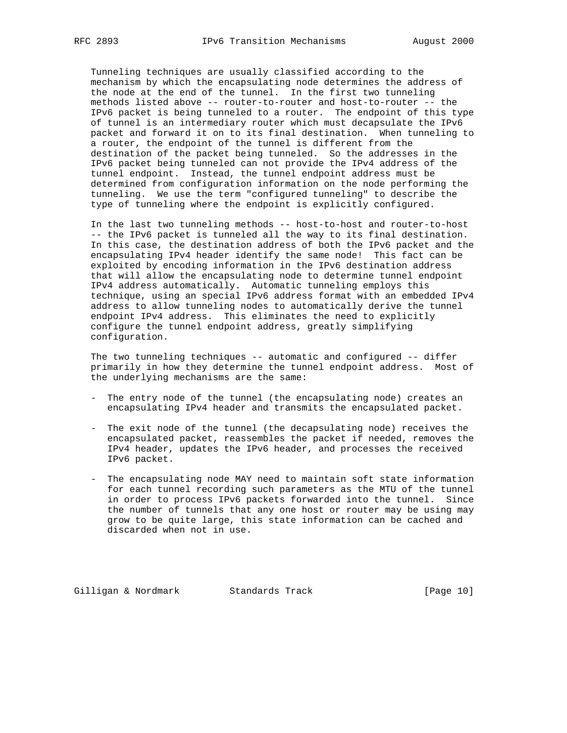Tunneling techniques are usually classified according to the mechanism by which the encapsulating node determines the address of the node at the end of the tunnel. In the first two tunneling methods listed above -- router-to-router and host-to-router -- the IPv6 packet is being tunneled to a router. The endpoint of this type of tunnel is an intermediary router which must decapsulate the IPv6 packet and forward it on to its final destination. When tunneling to a router, the endpoint of the tunnel is different from the destination of the packet being tunneled. So the addresses in the IPv6 packet being tunneled can not provide the IPv4 address of the tunnel endpoint. Instead, the tunnel endpoint address must be determined from configuration information on the node performing the tunneling. We use the term "configured tunneling" to describe the type of tunneling where the endpoint is explicitly configured.

 In the last two tunneling methods -- host-to-host and router-to-host -- the IPv6 packet is tunneled all the way to its final destination. In this case, the destination address of both the IPv6 packet and the encapsulating IPv4 header identify the same node! This fact can be exploited by encoding information in the IPv6 destination address that will allow the encapsulating node to determine tunnel endpoint IPv4 address automatically. Automatic tunneling employs this technique, using an special IPv6 address format with an embedded IPv4 address to allow tunneling nodes to automatically derive the tunnel endpoint IPv4 address. This eliminates the need to explicitly configure the tunnel endpoint address, greatly simplifying configuration.

 The two tunneling techniques -- automatic and configured -- differ primarily in how they determine the tunnel endpoint address. Most of the underlying mechanisms are the same:

- The entry node of the tunnel (the encapsulating node) creates an encapsulating IPv4 header and transmits the encapsulated packet.
- The exit node of the tunnel (the decapsulating node) receives the encapsulated packet, reassembles the packet if needed, removes the IPv4 header, updates the IPv6 header, and processes the received IPv6 packet.
- The encapsulating node MAY need to maintain soft state information for each tunnel recording such parameters as the MTU of the tunnel in order to process IPv6 packets forwarded into the tunnel. Since the number of tunnels that any one host or router may be using may grow to be quite large, this state information can be cached and discarded when not in use.

Gilligan & Nordmark Standards Track [Page 10]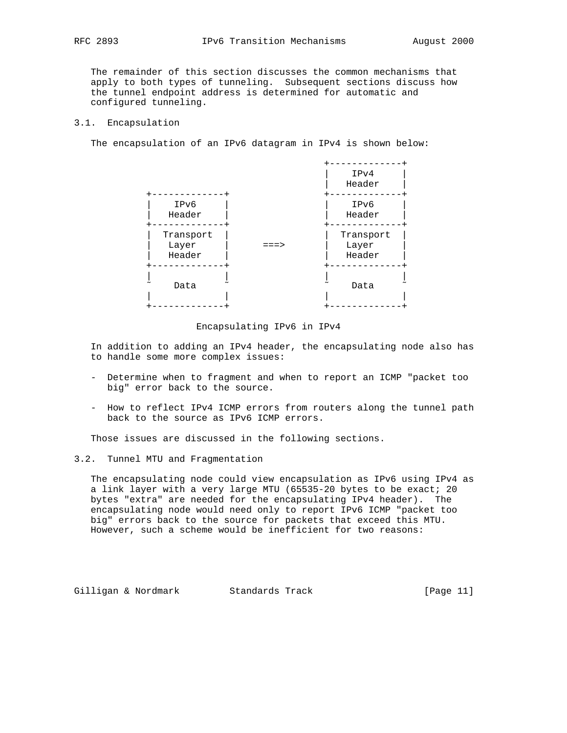The remainder of this section discusses the common mechanisms that apply to both types of tunneling. Subsequent sections discuss how the tunnel endpoint address is determined for automatic and configured tunneling.

### 3.1. Encapsulation

The encapsulation of an IPv6 datagram in IPv4 is shown below:



### Encapsulating IPv6 in IPv4

 In addition to adding an IPv4 header, the encapsulating node also has to handle some more complex issues:

- Determine when to fragment and when to report an ICMP "packet too big" error back to the source.
- How to reflect IPv4 ICMP errors from routers along the tunnel path back to the source as IPv6 ICMP errors.

Those issues are discussed in the following sections.

3.2. Tunnel MTU and Fragmentation

 The encapsulating node could view encapsulation as IPv6 using IPv4 as a link layer with a very large MTU (65535-20 bytes to be exact; 20 bytes "extra" are needed for the encapsulating IPv4 header). The encapsulating node would need only to report IPv6 ICMP "packet too big" errors back to the source for packets that exceed this MTU. However, such a scheme would be inefficient for two reasons:

Gilligan & Nordmark Standards Track (Page 11)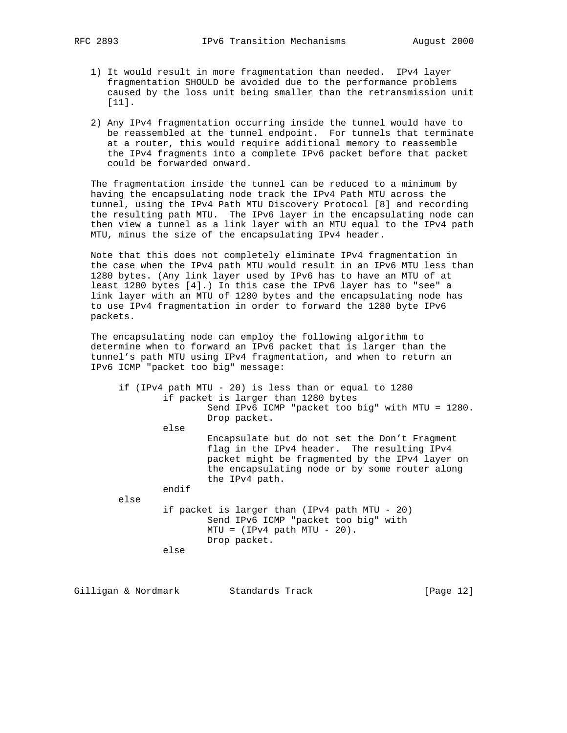- 1) It would result in more fragmentation than needed. IPv4 layer fragmentation SHOULD be avoided due to the performance problems caused by the loss unit being smaller than the retransmission unit [11].
- 2) Any IPv4 fragmentation occurring inside the tunnel would have to be reassembled at the tunnel endpoint. For tunnels that terminate at a router, this would require additional memory to reassemble the IPv4 fragments into a complete IPv6 packet before that packet could be forwarded onward.

 The fragmentation inside the tunnel can be reduced to a minimum by having the encapsulating node track the IPv4 Path MTU across the tunnel, using the IPv4 Path MTU Discovery Protocol [8] and recording the resulting path MTU. The IPv6 layer in the encapsulating node can then view a tunnel as a link layer with an MTU equal to the IPv4 path MTU, minus the size of the encapsulating IPv4 header.

 Note that this does not completely eliminate IPv4 fragmentation in the case when the IPv4 path MTU would result in an IPv6 MTU less than 1280 bytes. (Any link layer used by IPv6 has to have an MTU of at least 1280 bytes [4].) In this case the IPv6 layer has to "see" a link layer with an MTU of 1280 bytes and the encapsulating node has to use IPv4 fragmentation in order to forward the 1280 byte IPv6 packets.

 The encapsulating node can employ the following algorithm to determine when to forward an IPv6 packet that is larger than the tunnel's path MTU using IPv4 fragmentation, and when to return an IPv6 ICMP "packet too big" message:

 if (IPv4 path MTU - 20) is less than or equal to 1280 if packet is larger than 1280 bytes Send IPv6 ICMP "packet too big" with MTU = 1280. Drop packet. else Encapsulate but do not set the Don't Fragment flag in the IPv4 header. The resulting IPv4 packet might be fragmented by the IPv4 layer on the encapsulating node or by some router along the IPv4 path. endif else if packet is larger than (IPv4 path MTU - 20) Send IPv6 ICMP "packet too big" with  $MTU = (IPv4 path MTU - 20)$ . Drop packet.

else

Gilligan & Nordmark Standards Track [Page 12]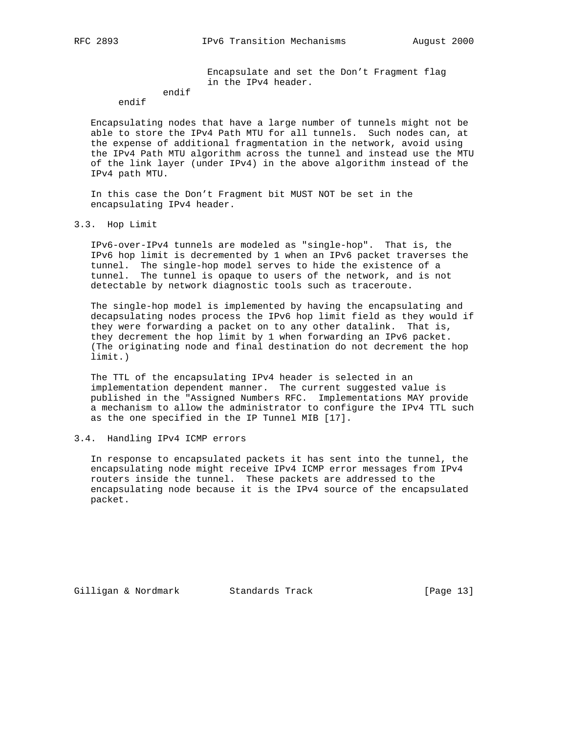Encapsulate and set the Don't Fragment flag in the IPv4 header.

#### endif endif

 Encapsulating nodes that have a large number of tunnels might not be able to store the IPv4 Path MTU for all tunnels. Such nodes can, at the expense of additional fragmentation in the network, avoid using the IPv4 Path MTU algorithm across the tunnel and instead use the MTU of the link layer (under IPv4) in the above algorithm instead of the IPv4 path MTU.

 In this case the Don't Fragment bit MUST NOT be set in the encapsulating IPv4 header.

### 3.3. Hop Limit

 IPv6-over-IPv4 tunnels are modeled as "single-hop". That is, the IPv6 hop limit is decremented by 1 when an IPv6 packet traverses the tunnel. The single-hop model serves to hide the existence of a tunnel. The tunnel is opaque to users of the network, and is not detectable by network diagnostic tools such as traceroute.

 The single-hop model is implemented by having the encapsulating and decapsulating nodes process the IPv6 hop limit field as they would if they were forwarding a packet on to any other datalink. That is, they decrement the hop limit by 1 when forwarding an IPv6 packet. (The originating node and final destination do not decrement the hop limit.)

 The TTL of the encapsulating IPv4 header is selected in an implementation dependent manner. The current suggested value is published in the "Assigned Numbers RFC. Implementations MAY provide a mechanism to allow the administrator to configure the IPv4 TTL such as the one specified in the IP Tunnel MIB [17].

# 3.4. Handling IPv4 ICMP errors

 In response to encapsulated packets it has sent into the tunnel, the encapsulating node might receive IPv4 ICMP error messages from IPv4 routers inside the tunnel. These packets are addressed to the encapsulating node because it is the IPv4 source of the encapsulated packet.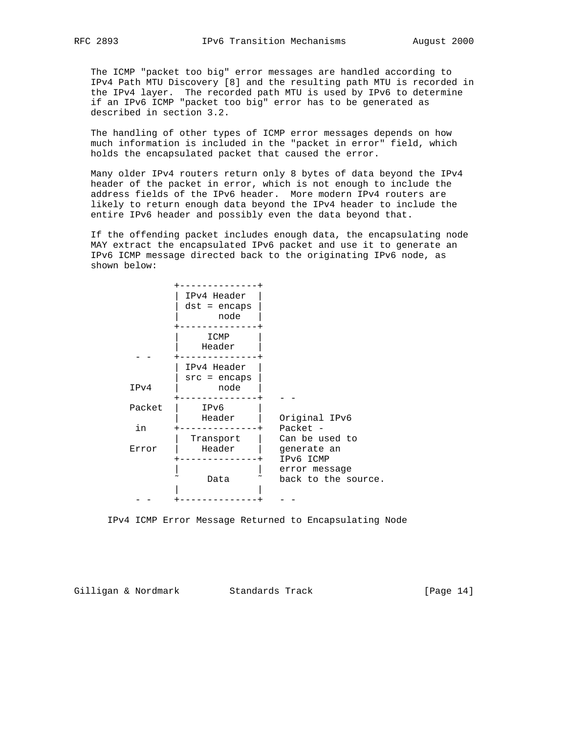The ICMP "packet too big" error messages are handled according to IPv4 Path MTU Discovery [8] and the resulting path MTU is recorded in the IPv4 layer. The recorded path MTU is used by IPv6 to determine if an IPv6 ICMP "packet too big" error has to be generated as described in section 3.2.

 The handling of other types of ICMP error messages depends on how much information is included in the "packet in error" field, which holds the encapsulated packet that caused the error.

 Many older IPv4 routers return only 8 bytes of data beyond the IPv4 header of the packet in error, which is not enough to include the address fields of the IPv6 header. More modern IPv4 routers are likely to return enough data beyond the IPv4 header to include the entire IPv6 header and possibly even the data beyond that.

 If the offending packet includes enough data, the encapsulating node MAY extract the encapsulated IPv6 packet and use it to generate an IPv6 ICMP message directed back to the originating IPv6 node, as shown below:

|        | IPv4 Header<br>$dst = encaps$<br>node |                                            |
|--------|---------------------------------------|--------------------------------------------|
|        | ICMP<br>Header                        |                                            |
| IPv4   | IPv4 Header<br>$src = encaps$<br>node |                                            |
| Packet | IPv6                                  |                                            |
| in     | Header                                | Original IPv6<br>Packet -                  |
| Error  | Transport<br>Header                   | Can be used to<br>generate an<br>IPv6 ICMP |
|        | Data                                  | error message<br>back to the source.       |
|        |                                       |                                            |

IPv4 ICMP Error Message Returned to Encapsulating Node

Gilligan & Nordmark Standards Track [Page 14]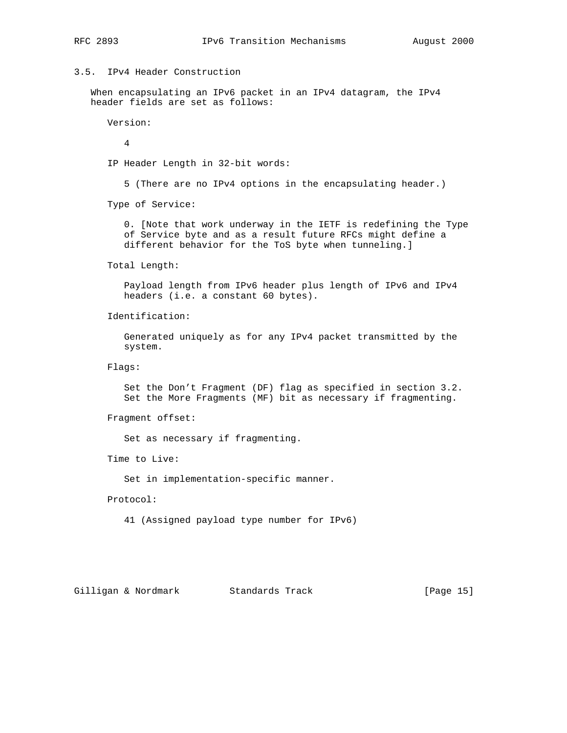# 3.5. IPv4 Header Construction

 When encapsulating an IPv6 packet in an IPv4 datagram, the IPv4 header fields are set as follows:

Version:

4

IP Header Length in 32-bit words:

5 (There are no IPv4 options in the encapsulating header.)

Type of Service:

 0. [Note that work underway in the IETF is redefining the Type of Service byte and as a result future RFCs might define a different behavior for the ToS byte when tunneling.]

Total Length:

 Payload length from IPv6 header plus length of IPv6 and IPv4 headers (i.e. a constant 60 bytes).

Identification:

 Generated uniquely as for any IPv4 packet transmitted by the system.

Flags:

 Set the Don't Fragment (DF) flag as specified in section 3.2. Set the More Fragments (MF) bit as necessary if fragmenting.

Fragment offset:

Set as necessary if fragmenting.

Time to Live:

Set in implementation-specific manner.

Protocol:

41 (Assigned payload type number for IPv6)

Gilligan & Nordmark Standards Track [Page 15]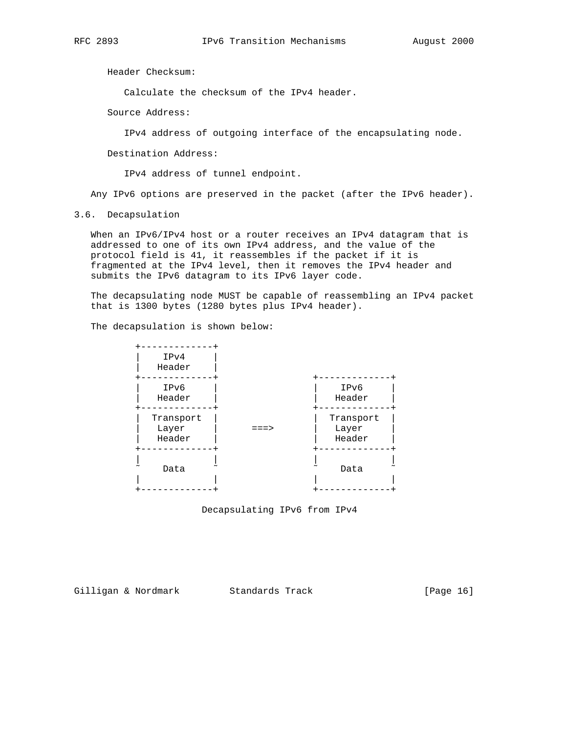Header Checksum:

Calculate the checksum of the IPv4 header.

Source Address:

IPv4 address of outgoing interface of the encapsulating node.

Destination Address:

IPv4 address of tunnel endpoint.

Any IPv6 options are preserved in the packet (after the IPv6 header).

3.6. Decapsulation

 When an IPv6/IPv4 host or a router receives an IPv4 datagram that is addressed to one of its own IPv4 address, and the value of the protocol field is 41, it reassembles if the packet if it is fragmented at the IPv4 level, then it removes the IPv4 header and submits the IPv6 datagram to its IPv6 layer code.

 The decapsulating node MUST be capable of reassembling an IPv4 packet that is 1300 bytes (1280 bytes plus IPv4 header).

The decapsulation is shown below:



Decapsulating IPv6 from IPv4

Gilligan & Nordmark Standards Track (Page 16)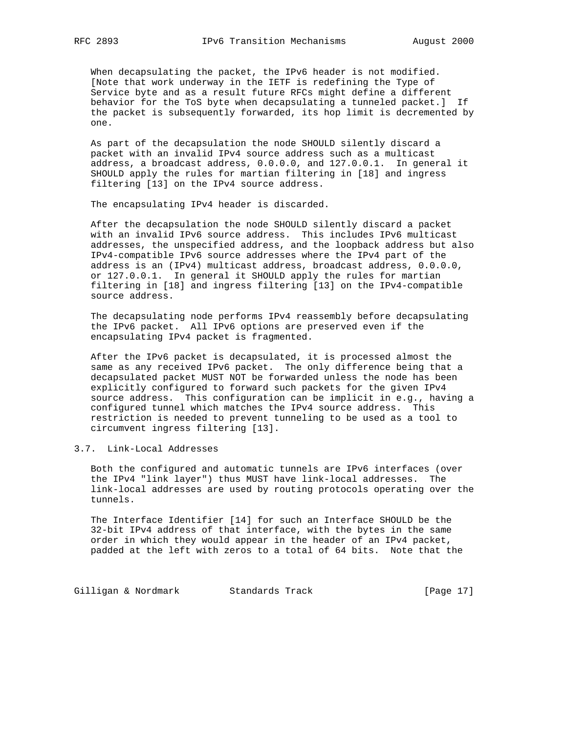When decapsulating the packet, the IPv6 header is not modified. [Note that work underway in the IETF is redefining the Type of Service byte and as a result future RFCs might define a different behavior for the ToS byte when decapsulating a tunneled packet.] If the packet is subsequently forwarded, its hop limit is decremented by one.

 As part of the decapsulation the node SHOULD silently discard a packet with an invalid IPv4 source address such as a multicast address, a broadcast address, 0.0.0.0, and 127.0.0.1. In general it SHOULD apply the rules for martian filtering in [18] and ingress filtering [13] on the IPv4 source address.

The encapsulating IPv4 header is discarded.

 After the decapsulation the node SHOULD silently discard a packet with an invalid IPv6 source address. This includes IPv6 multicast addresses, the unspecified address, and the loopback address but also IPv4-compatible IPv6 source addresses where the IPv4 part of the address is an (IPv4) multicast address, broadcast address, 0.0.0.0, or 127.0.0.1. In general it SHOULD apply the rules for martian filtering in [18] and ingress filtering [13] on the IPv4-compatible source address.

 The decapsulating node performs IPv4 reassembly before decapsulating the IPv6 packet. All IPv6 options are preserved even if the encapsulating IPv4 packet is fragmented.

 After the IPv6 packet is decapsulated, it is processed almost the same as any received IPv6 packet. The only difference being that a decapsulated packet MUST NOT be forwarded unless the node has been explicitly configured to forward such packets for the given IPv4 source address. This configuration can be implicit in e.g., having a configured tunnel which matches the IPv4 source address. This restriction is needed to prevent tunneling to be used as a tool to circumvent ingress filtering [13].

# 3.7. Link-Local Addresses

 Both the configured and automatic tunnels are IPv6 interfaces (over the IPv4 "link layer") thus MUST have link-local addresses. The link-local addresses are used by routing protocols operating over the tunnels.

 The Interface Identifier [14] for such an Interface SHOULD be the 32-bit IPv4 address of that interface, with the bytes in the same order in which they would appear in the header of an IPv4 packet, padded at the left with zeros to a total of 64 bits. Note that the

Gilligan & Nordmark Standards Track (Page 17)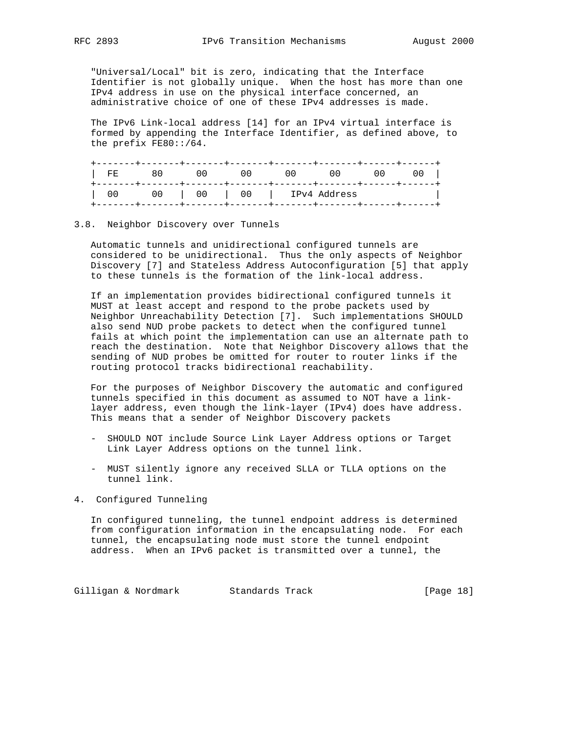"Universal/Local" bit is zero, indicating that the Interface Identifier is not globally unique. When the host has more than one IPv4 address in use on the physical interface concerned, an administrative choice of one of these IPv4 addresses is made.

 The IPv6 Link-local address [14] for an IPv4 virtual interface is formed by appending the Interface Identifier, as defined above, to the prefix FE80::/64.

| FE.    |         | $\mathbf{1}$ | -------+-------+-------+--- | ( ) ( ) |  |
|--------|---------|--------------|-----------------------------|---------|--|
| $\cup$ | 00   00 |              | 00   IPv4 Address           |         |  |

# 3.8. Neighbor Discovery over Tunnels

 Automatic tunnels and unidirectional configured tunnels are considered to be unidirectional. Thus the only aspects of Neighbor Discovery [7] and Stateless Address Autoconfiguration [5] that apply to these tunnels is the formation of the link-local address.

 If an implementation provides bidirectional configured tunnels it MUST at least accept and respond to the probe packets used by Neighbor Unreachability Detection [7]. Such implementations SHOULD also send NUD probe packets to detect when the configured tunnel fails at which point the implementation can use an alternate path to reach the destination. Note that Neighbor Discovery allows that the sending of NUD probes be omitted for router to router links if the routing protocol tracks bidirectional reachability.

 For the purposes of Neighbor Discovery the automatic and configured tunnels specified in this document as assumed to NOT have a link layer address, even though the link-layer (IPv4) does have address. This means that a sender of Neighbor Discovery packets

- SHOULD NOT include Source Link Layer Address options or Target Link Layer Address options on the tunnel link.
- MUST silently ignore any received SLLA or TLLA options on the tunnel link.

# 4. Configured Tunneling

 In configured tunneling, the tunnel endpoint address is determined from configuration information in the encapsulating node. For each tunnel, the encapsulating node must store the tunnel endpoint address. When an IPv6 packet is transmitted over a tunnel, the

Gilligan & Nordmark Standards Track (Page 18)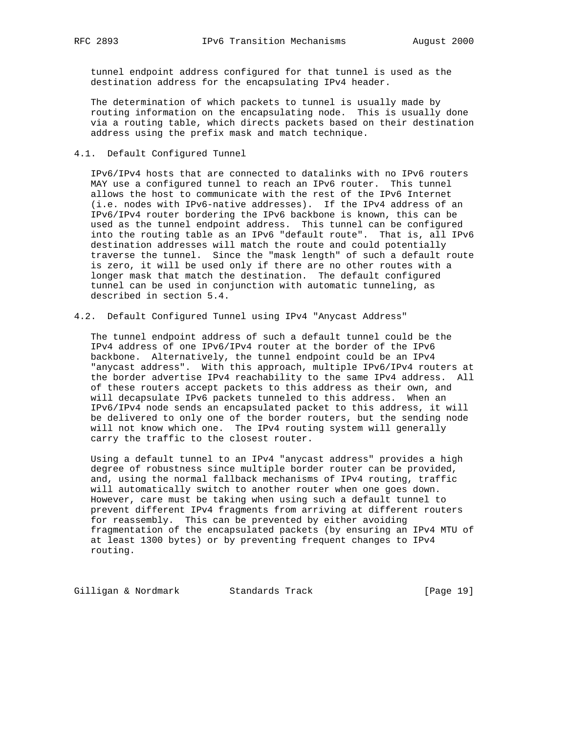tunnel endpoint address configured for that tunnel is used as the destination address for the encapsulating IPv4 header.

 The determination of which packets to tunnel is usually made by routing information on the encapsulating node. This is usually done via a routing table, which directs packets based on their destination address using the prefix mask and match technique.

4.1. Default Configured Tunnel

 IPv6/IPv4 hosts that are connected to datalinks with no IPv6 routers MAY use a configured tunnel to reach an IPv6 router. This tunnel allows the host to communicate with the rest of the IPv6 Internet (i.e. nodes with IPv6-native addresses). If the IPv4 address of an IPv6/IPv4 router bordering the IPv6 backbone is known, this can be used as the tunnel endpoint address. This tunnel can be configured into the routing table as an IPv6 "default route". That is, all IPv6 destination addresses will match the route and could potentially traverse the tunnel. Since the "mask length" of such a default route is zero, it will be used only if there are no other routes with a longer mask that match the destination. The default configured tunnel can be used in conjunction with automatic tunneling, as described in section 5.4.

4.2. Default Configured Tunnel using IPv4 "Anycast Address"

 The tunnel endpoint address of such a default tunnel could be the IPv4 address of one IPv6/IPv4 router at the border of the IPv6 backbone. Alternatively, the tunnel endpoint could be an IPv4 "anycast address". With this approach, multiple IPv6/IPv4 routers at the border advertise IPv4 reachability to the same IPv4 address. All of these routers accept packets to this address as their own, and will decapsulate IPv6 packets tunneled to this address. When an IPv6/IPv4 node sends an encapsulated packet to this address, it will be delivered to only one of the border routers, but the sending node will not know which one. The IPv4 routing system will generally carry the traffic to the closest router.

 Using a default tunnel to an IPv4 "anycast address" provides a high degree of robustness since multiple border router can be provided, and, using the normal fallback mechanisms of IPv4 routing, traffic will automatically switch to another router when one goes down. However, care must be taking when using such a default tunnel to prevent different IPv4 fragments from arriving at different routers for reassembly. This can be prevented by either avoiding fragmentation of the encapsulated packets (by ensuring an IPv4 MTU of at least 1300 bytes) or by preventing frequent changes to IPv4 routing.

Gilligan & Nordmark Standards Track [Page 19]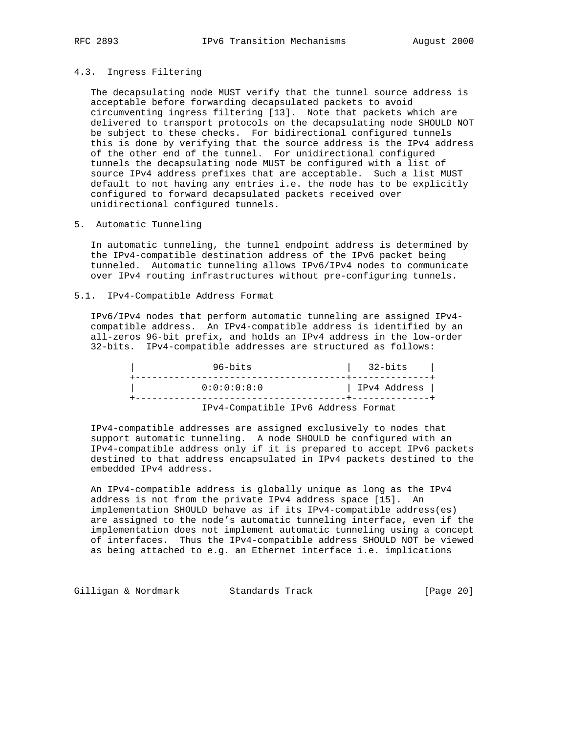#### 4.3. Ingress Filtering

 The decapsulating node MUST verify that the tunnel source address is acceptable before forwarding decapsulated packets to avoid circumventing ingress filtering [13]. Note that packets which are delivered to transport protocols on the decapsulating node SHOULD NOT be subject to these checks. For bidirectional configured tunnels this is done by verifying that the source address is the IPv4 address of the other end of the tunnel. For unidirectional configured tunnels the decapsulating node MUST be configured with a list of source IPv4 address prefixes that are acceptable. Such a list MUST default to not having any entries i.e. the node has to be explicitly configured to forward decapsulated packets received over unidirectional configured tunnels.

5. Automatic Tunneling

 In automatic tunneling, the tunnel endpoint address is determined by the IPv4-compatible destination address of the IPv6 packet being tunneled. Automatic tunneling allows IPv6/IPv4 nodes to communicate over IPv4 routing infrastructures without pre-configuring tunnels.

5.1. IPv4-Compatible Address Format

 IPv6/IPv4 nodes that perform automatic tunneling are assigned IPv4 compatible address. An IPv4-compatible address is identified by an all-zeros 96-bit prefix, and holds an IPv4 address in the low-order 32-bits. IPv4-compatible addresses are structured as follows:

| $96 - bits$                         | 32-bits      |
|-------------------------------------|--------------|
| 0:0:0:0:0:0:0                       | IPv4 Address |
| IPv4-Compatible IPv6 Address Format |              |

 IPv4-compatible addresses are assigned exclusively to nodes that support automatic tunneling. A node SHOULD be configured with an IPv4-compatible address only if it is prepared to accept IPv6 packets destined to that address encapsulated in IPv4 packets destined to the embedded IPv4 address.

 An IPv4-compatible address is globally unique as long as the IPv4 address is not from the private IPv4 address space [15]. An implementation SHOULD behave as if its IPv4-compatible address(es) are assigned to the node's automatic tunneling interface, even if the implementation does not implement automatic tunneling using a concept of interfaces. Thus the IPv4-compatible address SHOULD NOT be viewed as being attached to e.g. an Ethernet interface i.e. implications

Gilligan & Nordmark Standards Track (Page 20)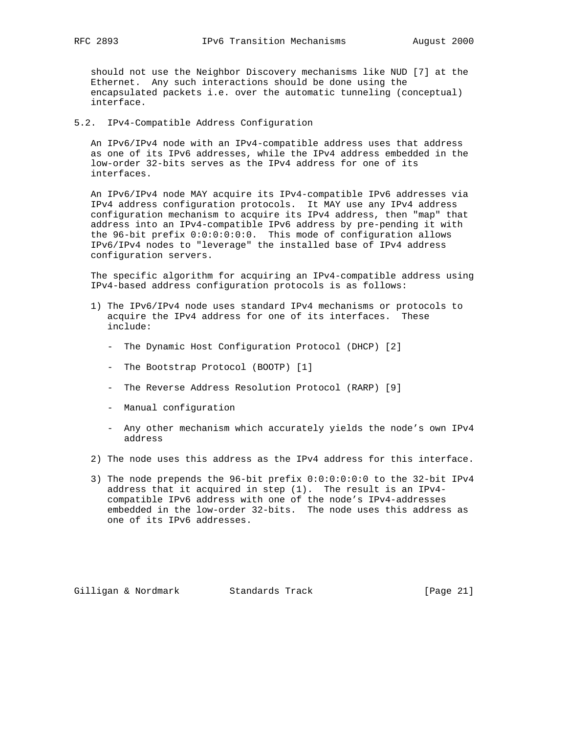should not use the Neighbor Discovery mechanisms like NUD [7] at the Ethernet. Any such interactions should be done using the encapsulated packets i.e. over the automatic tunneling (conceptual) interface.

5.2. IPv4-Compatible Address Configuration

 An IPv6/IPv4 node with an IPv4-compatible address uses that address as one of its IPv6 addresses, while the IPv4 address embedded in the low-order 32-bits serves as the IPv4 address for one of its interfaces.

 An IPv6/IPv4 node MAY acquire its IPv4-compatible IPv6 addresses via IPv4 address configuration protocols. It MAY use any IPv4 address configuration mechanism to acquire its IPv4 address, then "map" that address into an IPv4-compatible IPv6 address by pre-pending it with the 96-bit prefix 0:0:0:0:0:0. This mode of configuration allows IPv6/IPv4 nodes to "leverage" the installed base of IPv4 address configuration servers.

 The specific algorithm for acquiring an IPv4-compatible address using IPv4-based address configuration protocols is as follows:

- 1) The IPv6/IPv4 node uses standard IPv4 mechanisms or protocols to acquire the IPv4 address for one of its interfaces. These include:
	- The Dynamic Host Configuration Protocol (DHCP) [2]
	- The Bootstrap Protocol (BOOTP) [1]
	- The Reverse Address Resolution Protocol (RARP) [9]
	- Manual configuration
	- Any other mechanism which accurately yields the node's own IPv4 address
- 2) The node uses this address as the IPv4 address for this interface.
- 3) The node prepends the 96-bit prefix 0:0:0:0:0:0 to the 32-bit IPv4 address that it acquired in step (1). The result is an IPv4 compatible IPv6 address with one of the node's IPv4-addresses embedded in the low-order 32-bits. The node uses this address as one of its IPv6 addresses.

Gilligan & Nordmark Standards Track [Page 21]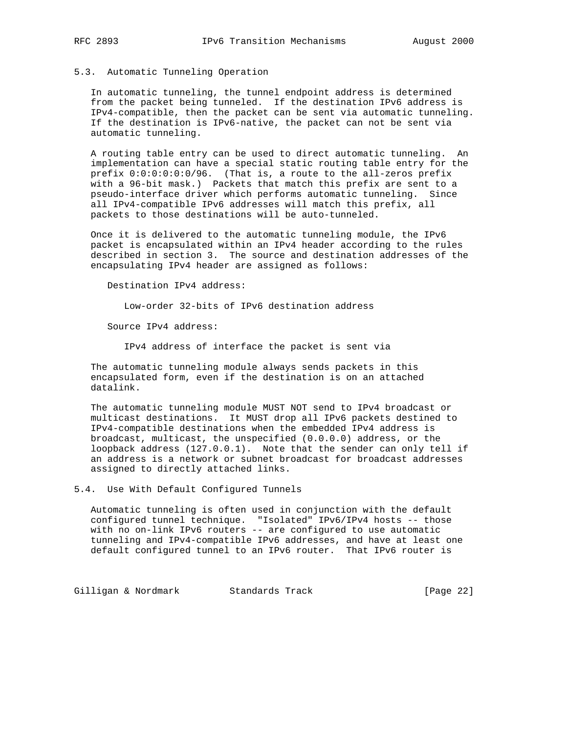# 5.3. Automatic Tunneling Operation

 In automatic tunneling, the tunnel endpoint address is determined from the packet being tunneled. If the destination IPv6 address is IPv4-compatible, then the packet can be sent via automatic tunneling. If the destination is IPv6-native, the packet can not be sent via automatic tunneling.

 A routing table entry can be used to direct automatic tunneling. An implementation can have a special static routing table entry for the prefix 0:0:0:0:0:0/96. (That is, a route to the all-zeros prefix with a 96-bit mask.) Packets that match this prefix are sent to a pseudo-interface driver which performs automatic tunneling. Since all IPv4-compatible IPv6 addresses will match this prefix, all packets to those destinations will be auto-tunneled.

 Once it is delivered to the automatic tunneling module, the IPv6 packet is encapsulated within an IPv4 header according to the rules described in section 3. The source and destination addresses of the encapsulating IPv4 header are assigned as follows:

Destination IPv4 address:

Low-order 32-bits of IPv6 destination address

Source IPv4 address:

IPv4 address of interface the packet is sent via

 The automatic tunneling module always sends packets in this encapsulated form, even if the destination is on an attached datalink.

 The automatic tunneling module MUST NOT send to IPv4 broadcast or multicast destinations. It MUST drop all IPv6 packets destined to IPv4-compatible destinations when the embedded IPv4 address is broadcast, multicast, the unspecified (0.0.0.0) address, or the loopback address (127.0.0.1). Note that the sender can only tell if an address is a network or subnet broadcast for broadcast addresses assigned to directly attached links.

5.4. Use With Default Configured Tunnels

 Automatic tunneling is often used in conjunction with the default configured tunnel technique. "Isolated" IPv6/IPv4 hosts -- those with no on-link IPv6 routers -- are configured to use automatic tunneling and IPv4-compatible IPv6 addresses, and have at least one default configured tunnel to an IPv6 router. That IPv6 router is

Gilligan & Nordmark Standards Track (Page 22)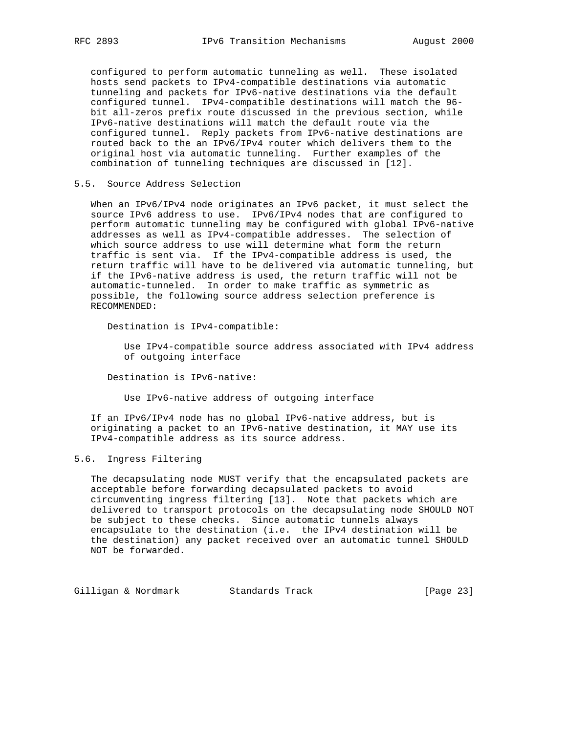configured to perform automatic tunneling as well. These isolated hosts send packets to IPv4-compatible destinations via automatic tunneling and packets for IPv6-native destinations via the default configured tunnel. IPv4-compatible destinations will match the 96 bit all-zeros prefix route discussed in the previous section, while IPv6-native destinations will match the default route via the configured tunnel. Reply packets from IPv6-native destinations are routed back to the an IPv6/IPv4 router which delivers them to the original host via automatic tunneling. Further examples of the combination of tunneling techniques are discussed in [12].

# 5.5. Source Address Selection

 When an IPv6/IPv4 node originates an IPv6 packet, it must select the source IPv6 address to use. IPv6/IPv4 nodes that are configured to perform automatic tunneling may be configured with global IPv6-native addresses as well as IPv4-compatible addresses. The selection of which source address to use will determine what form the return traffic is sent via. If the IPv4-compatible address is used, the return traffic will have to be delivered via automatic tunneling, but if the IPv6-native address is used, the return traffic will not be automatic-tunneled. In order to make traffic as symmetric as possible, the following source address selection preference is RECOMMENDED:

Destination is IPv4-compatible:

 Use IPv4-compatible source address associated with IPv4 address of outgoing interface

Destination is IPv6-native:

Use IPv6-native address of outgoing interface

 If an IPv6/IPv4 node has no global IPv6-native address, but is originating a packet to an IPv6-native destination, it MAY use its IPv4-compatible address as its source address.

# 5.6. Ingress Filtering

 The decapsulating node MUST verify that the encapsulated packets are acceptable before forwarding decapsulated packets to avoid circumventing ingress filtering [13]. Note that packets which are delivered to transport protocols on the decapsulating node SHOULD NOT be subject to these checks. Since automatic tunnels always encapsulate to the destination (i.e. the IPv4 destination will be the destination) any packet received over an automatic tunnel SHOULD NOT be forwarded.

Gilligan & Nordmark Standards Track [Page 23]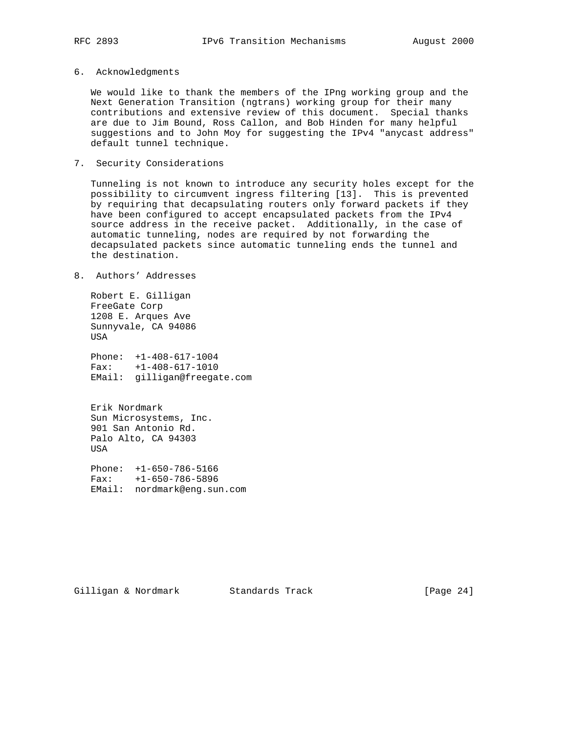### 6. Acknowledgments

 We would like to thank the members of the IPng working group and the Next Generation Transition (ngtrans) working group for their many contributions and extensive review of this document. Special thanks are due to Jim Bound, Ross Callon, and Bob Hinden for many helpful suggestions and to John Moy for suggesting the IPv4 "anycast address" default tunnel technique.

# 7. Security Considerations

 Tunneling is not known to introduce any security holes except for the possibility to circumvent ingress filtering [13]. This is prevented by requiring that decapsulating routers only forward packets if they have been configured to accept encapsulated packets from the IPv4 source address in the receive packet. Additionally, in the case of automatic tunneling, nodes are required by not forwarding the decapsulated packets since automatic tunneling ends the tunnel and the destination.

# 8. Authors' Addresses

 Robert E. Gilligan FreeGate Corp 1208 E. Arques Ave Sunnyvale, CA 94086 USA

 Phone: +1-408-617-1004 Fax: +1-408-617-1010 EMail: gilligan@freegate.com

 Erik Nordmark Sun Microsystems, Inc. 901 San Antonio Rd. Palo Alto, CA 94303 USA

 Phone: +1-650-786-5166 Fax: +1-650-786-5896 EMail: nordmark@eng.sun.com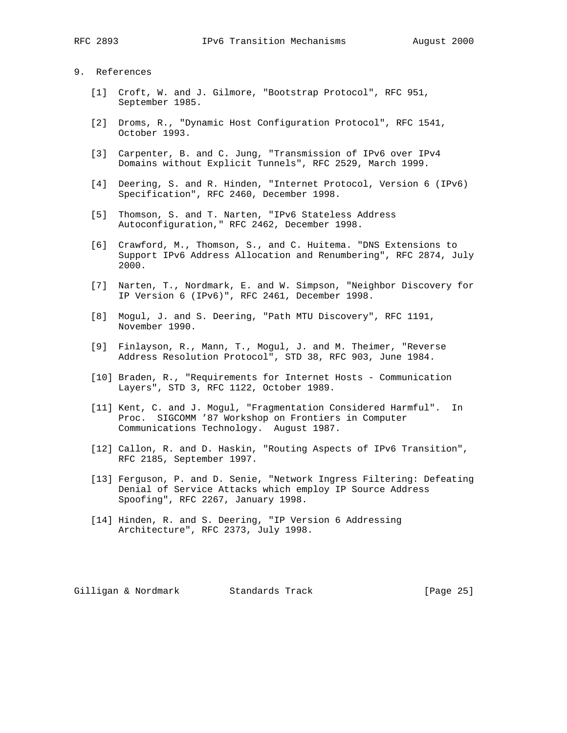# 9. References

- [1] Croft, W. and J. Gilmore, "Bootstrap Protocol", RFC 951, September 1985.
- [2] Droms, R., "Dynamic Host Configuration Protocol", RFC 1541, October 1993.
- [3] Carpenter, B. and C. Jung, "Transmission of IPv6 over IPv4 Domains without Explicit Tunnels", RFC 2529, March 1999.
- [4] Deering, S. and R. Hinden, "Internet Protocol, Version 6 (IPv6) Specification", RFC 2460, December 1998.
- [5] Thomson, S. and T. Narten, "IPv6 Stateless Address Autoconfiguration," RFC 2462, December 1998.
- [6] Crawford, M., Thomson, S., and C. Huitema. "DNS Extensions to Support IPv6 Address Allocation and Renumbering", RFC 2874, July 2000.
- [7] Narten, T., Nordmark, E. and W. Simpson, "Neighbor Discovery for IP Version 6 (IPv6)", RFC 2461, December 1998.
- [8] Mogul, J. and S. Deering, "Path MTU Discovery", RFC 1191, November 1990.
- [9] Finlayson, R., Mann, T., Mogul, J. and M. Theimer, "Reverse Address Resolution Protocol", STD 38, RFC 903, June 1984.
- [10] Braden, R., "Requirements for Internet Hosts Communication Layers", STD 3, RFC 1122, October 1989.
- [11] Kent, C. and J. Mogul, "Fragmentation Considered Harmful". In Proc. SIGCOMM '87 Workshop on Frontiers in Computer Communications Technology. August 1987.
- [12] Callon, R. and D. Haskin, "Routing Aspects of IPv6 Transition", RFC 2185, September 1997.
- [13] Ferguson, P. and D. Senie, "Network Ingress Filtering: Defeating Denial of Service Attacks which employ IP Source Address Spoofing", RFC 2267, January 1998.
- [14] Hinden, R. and S. Deering, "IP Version 6 Addressing Architecture", RFC 2373, July 1998.

Gilligan & Nordmark Standards Track [Page 25]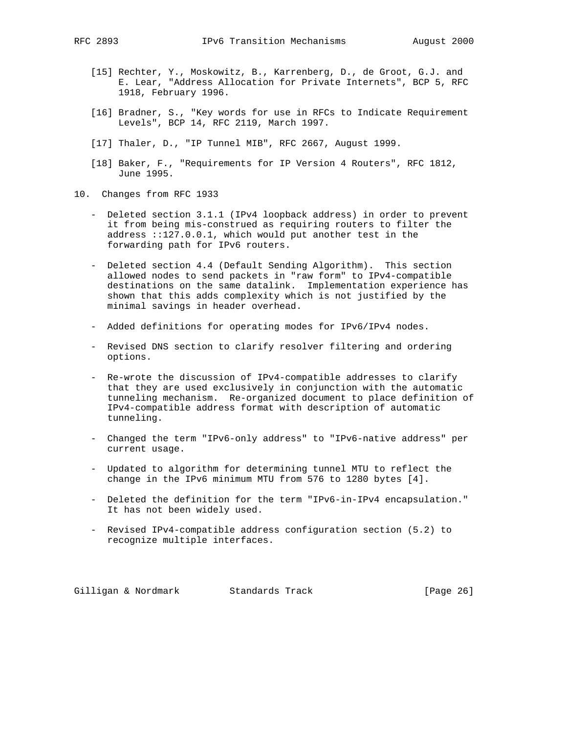- 
- [15] Rechter, Y., Moskowitz, B., Karrenberg, D., de Groot, G.J. and E. Lear, "Address Allocation for Private Internets", BCP 5, RFC 1918, February 1996.
- [16] Bradner, S., "Key words for use in RFCs to Indicate Requirement Levels", BCP 14, RFC 2119, March 1997.
- [17] Thaler, D., "IP Tunnel MIB", RFC 2667, August 1999.
- [18] Baker, F., "Requirements for IP Version 4 Routers", RFC 1812, June 1995.
- 10. Changes from RFC 1933
	- Deleted section 3.1.1 (IPv4 loopback address) in order to prevent it from being mis-construed as requiring routers to filter the address ::127.0.0.1, which would put another test in the forwarding path for IPv6 routers.
	- Deleted section 4.4 (Default Sending Algorithm). This section allowed nodes to send packets in "raw form" to IPv4-compatible destinations on the same datalink. Implementation experience has shown that this adds complexity which is not justified by the minimal savings in header overhead.
	- Added definitions for operating modes for IPv6/IPv4 nodes.
	- Revised DNS section to clarify resolver filtering and ordering options.
	- Re-wrote the discussion of IPv4-compatible addresses to clarify that they are used exclusively in conjunction with the automatic tunneling mechanism. Re-organized document to place definition of IPv4-compatible address format with description of automatic tunneling.
	- Changed the term "IPv6-only address" to "IPv6-native address" per current usage.
	- Updated to algorithm for determining tunnel MTU to reflect the change in the IPv6 minimum MTU from 576 to 1280 bytes [4].
	- Deleted the definition for the term "IPv6-in-IPv4 encapsulation." It has not been widely used.
	- Revised IPv4-compatible address configuration section (5.2) to recognize multiple interfaces.

Gilligan & Nordmark Standards Track [Page 26]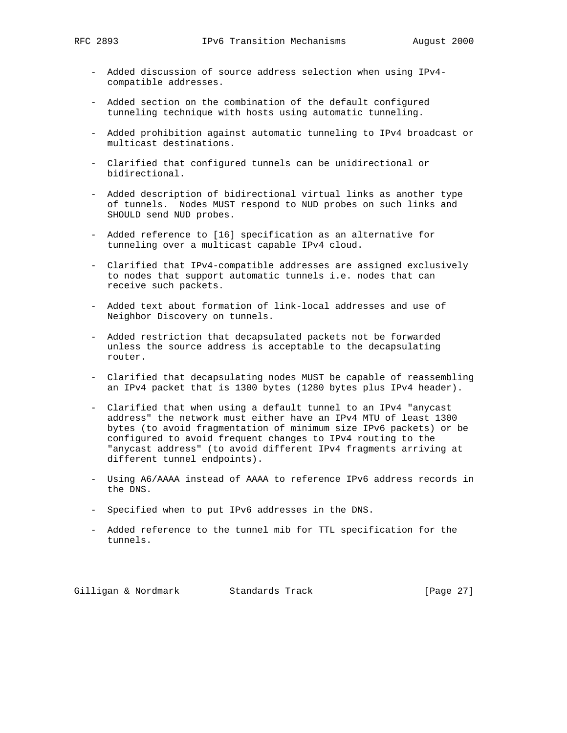- Added discussion of source address selection when using IPv4 compatible addresses.
- Added section on the combination of the default configured tunneling technique with hosts using automatic tunneling.
- Added prohibition against automatic tunneling to IPv4 broadcast or multicast destinations.
- Clarified that configured tunnels can be unidirectional or bidirectional.
- Added description of bidirectional virtual links as another type of tunnels. Nodes MUST respond to NUD probes on such links and SHOULD send NUD probes.
- Added reference to [16] specification as an alternative for tunneling over a multicast capable IPv4 cloud.
- Clarified that IPv4-compatible addresses are assigned exclusively to nodes that support automatic tunnels i.e. nodes that can receive such packets.
- Added text about formation of link-local addresses and use of Neighbor Discovery on tunnels.
- Added restriction that decapsulated packets not be forwarded unless the source address is acceptable to the decapsulating router.
- Clarified that decapsulating nodes MUST be capable of reassembling an IPv4 packet that is 1300 bytes (1280 bytes plus IPv4 header).
- Clarified that when using a default tunnel to an IPv4 "anycast address" the network must either have an IPv4 MTU of least 1300 bytes (to avoid fragmentation of minimum size IPv6 packets) or be configured to avoid frequent changes to IPv4 routing to the "anycast address" (to avoid different IPv4 fragments arriving at different tunnel endpoints).
- Using A6/AAAA instead of AAAA to reference IPv6 address records in the DNS.
- Specified when to put IPv6 addresses in the DNS.
- Added reference to the tunnel mib for TTL specification for the tunnels.

Gilligan & Nordmark Standards Track [Page 27]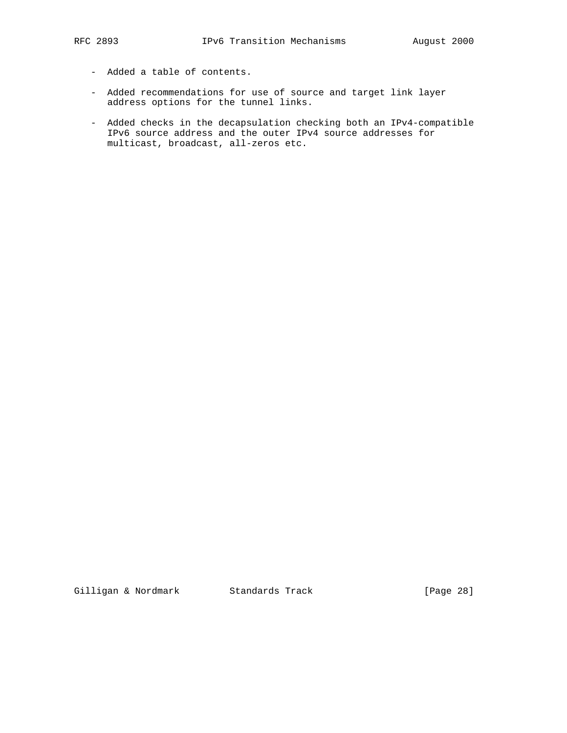- Added a table of contents.
- Added recommendations for use of source and target link layer address options for the tunnel links.
- Added checks in the decapsulation checking both an IPv4-compatible IPv6 source address and the outer IPv4 source addresses for multicast, broadcast, all-zeros etc.